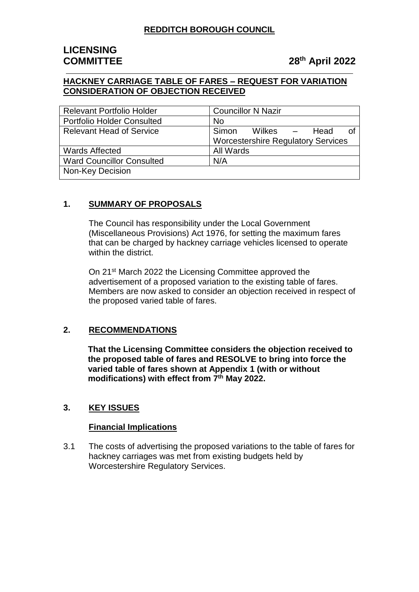# **LICENSING**

# **COMMITTEE 28th April 2022**

## **HACKNEY CARRIAGE TABLE OF FARES – REQUEST FOR VARIATION CONSIDERATION OF OBJECTION RECEIVED**

| <b>Relevant Portfolio Holder</b>  | <b>Councillor N Nazir</b>                 |
|-----------------------------------|-------------------------------------------|
| <b>Portfolio Holder Consulted</b> | <b>No</b>                                 |
| <b>Relevant Head of Service</b>   | Simon<br>Wilkes –<br>Head<br>nt           |
|                                   | <b>Worcestershire Regulatory Services</b> |
| <b>Wards Affected</b>             | All Wards                                 |
| <b>Ward Councillor Consulted</b>  | N/A                                       |
| <b>Non-Key Decision</b>           |                                           |

## **1. SUMMARY OF PROPOSALS**

The Council has responsibility under the Local Government (Miscellaneous Provisions) Act 1976, for setting the maximum fares that can be charged by hackney carriage vehicles licensed to operate within the district.

On 21st March 2022 the Licensing Committee approved the advertisement of a proposed variation to the existing table of fares. Members are now asked to consider an objection received in respect of the proposed varied table of fares.

## **2. RECOMMENDATIONS**

**That the Licensing Committee considers the objection received to the proposed table of fares and RESOLVE to bring into force the varied table of fares shown at Appendix 1 (with or without modifications) with effect from 7 th May 2022.**

# **3. KEY ISSUES**

## **Financial Implications**

3.1 The costs of advertising the proposed variations to the table of fares for hackney carriages was met from existing budgets held by Worcestershire Regulatory Services.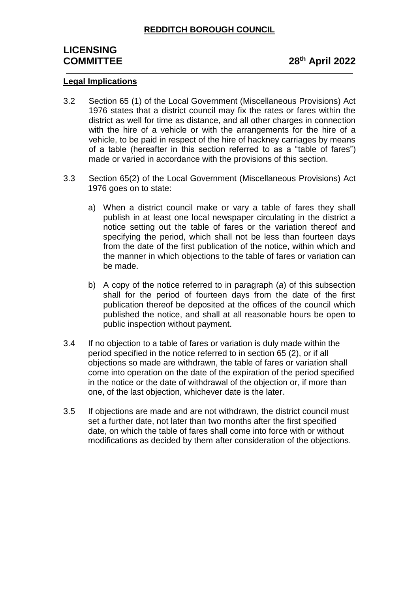# **LICENSING COMMITTEE 28th April 2022**

#### **Legal Implications**

- 3.2 Section 65 (1) of the Local Government (Miscellaneous Provisions) Act 1976 states that a district council may fix the rates or fares within the district as well for time as distance, and all other charges in connection with the hire of a vehicle or with the arrangements for the hire of a vehicle, to be paid in respect of the hire of hackney carriages by means of a table (hereafter in this section referred to as a "table of fares") made or varied in accordance with the provisions of this section.
- 3.3 Section 65(2) of the Local Government (Miscellaneous Provisions) Act 1976 goes on to state:
	- a) When a district council make or vary a table of fares they shall publish in at least one local newspaper circulating in the district a notice setting out the table of fares or the variation thereof and specifying the period, which shall not be less than fourteen days from the date of the first publication of the notice, within which and the manner in which objections to the table of fares or variation can be made.
	- b) A copy of the notice referred to in paragraph (*a*) of this subsection shall for the period of fourteen days from the date of the first publication thereof be deposited at the offices of the council which published the notice, and shall at all reasonable hours be open to public inspection without payment.
- 3.4 If no objection to a table of fares or variation is duly made within the period specified in the notice referred to in section 65 (2), or if all objections so made are withdrawn, the table of fares or variation shall come into operation on the date of the expiration of the period specified in the notice or the date of withdrawal of the objection or, if more than one, of the last objection, whichever date is the later.
- 3.5 If objections are made and are not withdrawn, the district council must set a further date, not later than two months after the first specified date, on which the table of fares shall come into force with or without modifications as decided by them after consideration of the objections.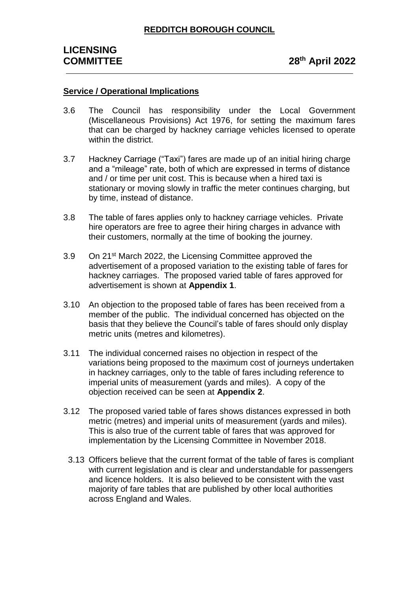### **Service / Operational Implications**

- 3.6 The Council has responsibility under the Local Government (Miscellaneous Provisions) Act 1976, for setting the maximum fares that can be charged by hackney carriage vehicles licensed to operate within the district.
- 3.7 Hackney Carriage ("Taxi") fares are made up of an initial hiring charge and a "mileage" rate, both of which are expressed in terms of distance and / or time per unit cost. This is because when a hired taxi is stationary or moving slowly in traffic the meter continues charging, but by time, instead of distance.
- 3.8 The table of fares applies only to hackney carriage vehicles. Private hire operators are free to agree their hiring charges in advance with their customers, normally at the time of booking the journey.
- 3.9 On 21st March 2022, the Licensing Committee approved the advertisement of a proposed variation to the existing table of fares for hackney carriages. The proposed varied table of fares approved for advertisement is shown at **Appendix 1**.
- 3.10 An objection to the proposed table of fares has been received from a member of the public. The individual concerned has objected on the basis that they believe the Council's table of fares should only display metric units (metres and kilometres).
- 3.11 The individual concerned raises no objection in respect of the variations being proposed to the maximum cost of journeys undertaken in hackney carriages, only to the table of fares including reference to imperial units of measurement (yards and miles). A copy of the objection received can be seen at **Appendix 2**.
- 3.12 The proposed varied table of fares shows distances expressed in both metric (metres) and imperial units of measurement (yards and miles). This is also true of the current table of fares that was approved for implementation by the Licensing Committee in November 2018.
	- 3.13 Officers believe that the current format of the table of fares is compliant with current legislation and is clear and understandable for passengers and licence holders. It is also believed to be consistent with the vast majority of fare tables that are published by other local authorities across England and Wales.